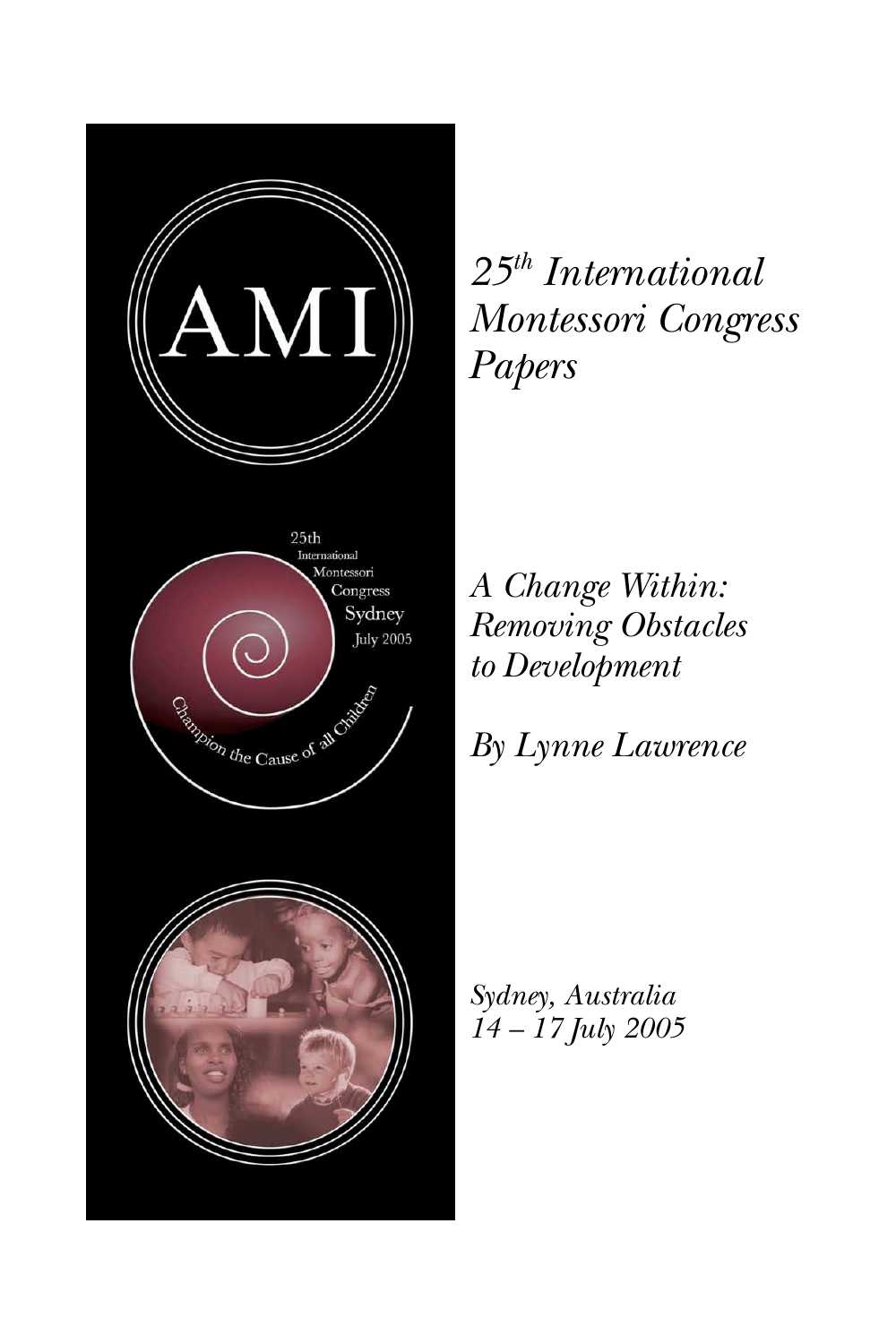

*25th International Montessori Congress Papers*

*A Change Within: Removing Obstacles to Development*

*By Lynne Lawrence*

*Sydney, Australia 14 – 17 July 2005*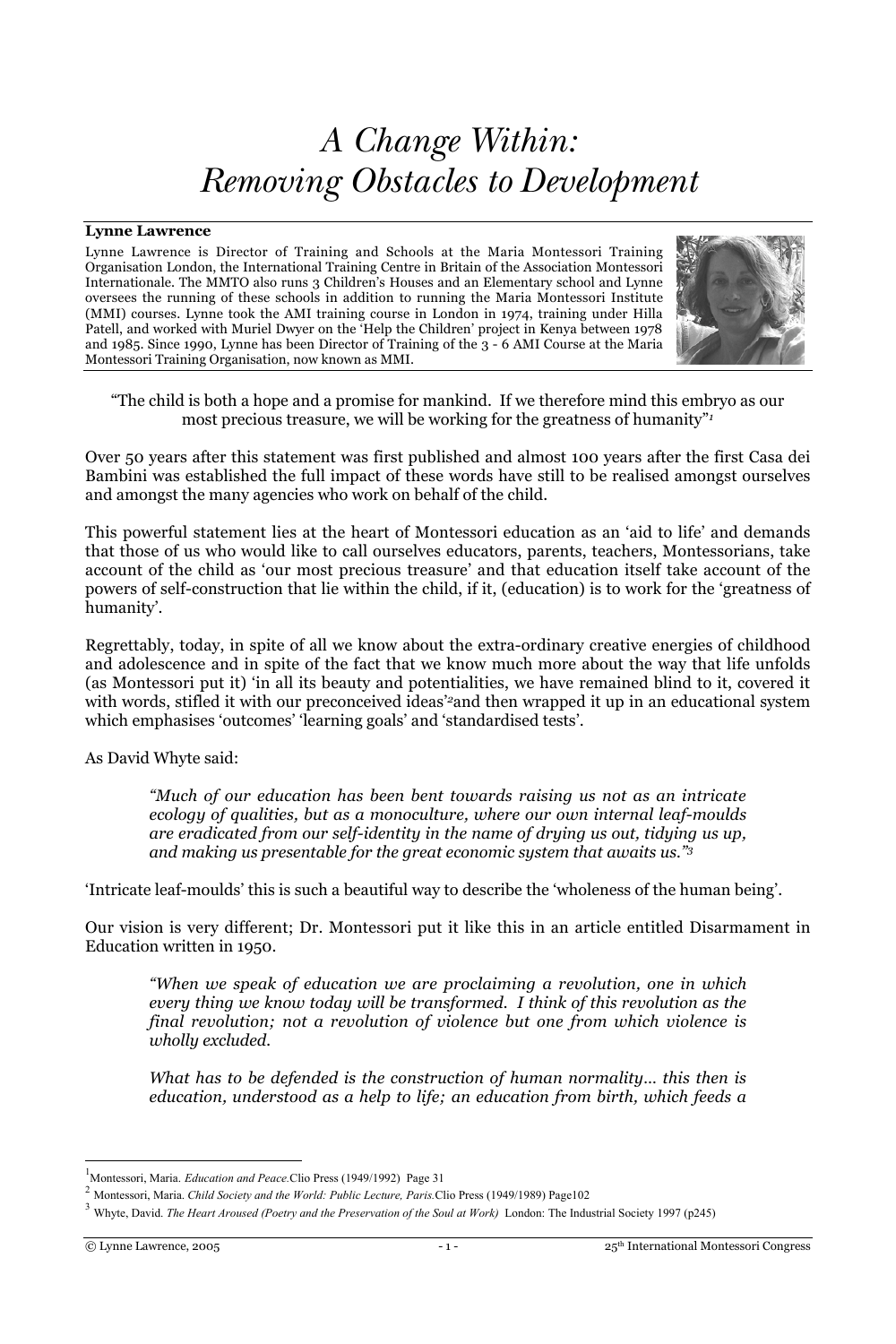# *A Change Within: Removing Obstacles to Development*

#### **Lynne Lawrence**

Lynne Lawrence is Director of Training and Schools at the Maria Montessori Training Organisation London, the International Training Centre in Britain of the Association Montessori Internationale. The MMTO also runs 3 Children's Houses and an Elementary school and Lynne oversees the running of these schools in addition to running the Maria Montessori Institute (MMI) courses. Lynne took the AMI training course in London in 1974, training under Hilla Patell, and worked with Muriel Dwyer on the 'Help the Children' project in Kenya between 1978 and 1985. Since 1990, Lynne has been Director of Training of the 3 - 6 AMI Course at the Maria Montessori Training Organisation, now known as MMI.



"The child is both a hope and a promise for mankind. If we therefore mind this embryo as our most precious treasure, we will be working for the greatness of humanity"*<sup>1</sup>*

Over 50 years after this statement was first published and almost 100 years after the first Casa dei Bambini was established the full impact of these words have still to be realised amongst ourselves and amongst the many agencies who work on behalf of the child.

This powerful statement lies at the heart of Montessori education as an 'aid to life' and demands that those of us who would like to call ourselves educators, parents, teachers, Montessorians, take account of the child as 'our most precious treasure' and that education itself take account of the powers of self-construction that lie within the child, if it, (education) is to work for the 'greatness of humanity'.

Regrettably, today, in spite of all we know about the extra-ordinary creative energies of childhood and adolescence and in spite of the fact that we know much more about the way that life unfolds (as Montessori put it) 'in all its beauty and potentialities, we have remained blind to it, covered it with words, stifled it with our preconceived ideas'*<sup>2</sup>*and then wrapped it up in an educational system which emphasises 'outcomes' 'learning goals' and 'standardised tests'.

As David Whyte said:

*"Much of our education has been bent towards raising us not as an intricate ecology of qualities, but as a monoculture, where our own internal leaf-moulds are eradicated from our self-identity in the name of drying us out, tidying us up, and making us presentable for the great economic system that awaits us."3*

'Intricate leaf-moulds' this is such a beautiful way to describe the 'wholeness of the human being'.

Our vision is very different; Dr. Montessori put it like this in an article entitled Disarmament in Education written in 1950.

*"When we speak of education we are proclaiming a revolution, one in which every thing we know today will be transformed. I think of this revolution as the final revolution; not a revolution of violence but one from which violence is wholly excluded.*

*What has to be defended is the construction of human normality… this then is education, understood as a help to life; an education from birth, which feeds a*

<sup>|&</sup>lt;br>| Montessori, Maria. *Education and Peace.*Clio Press (1949/1992) Page 31

<sup>2</sup> Montessori, Maria. *Child Society and the World: Public Lecture, Paris.*Clio Press (1949/1989) Page102

<sup>3</sup> Whyte, David. *The Heart Aroused (Poetry and the Preservation of the Soul at Work)* London: The Industrial Society 1997 (p245)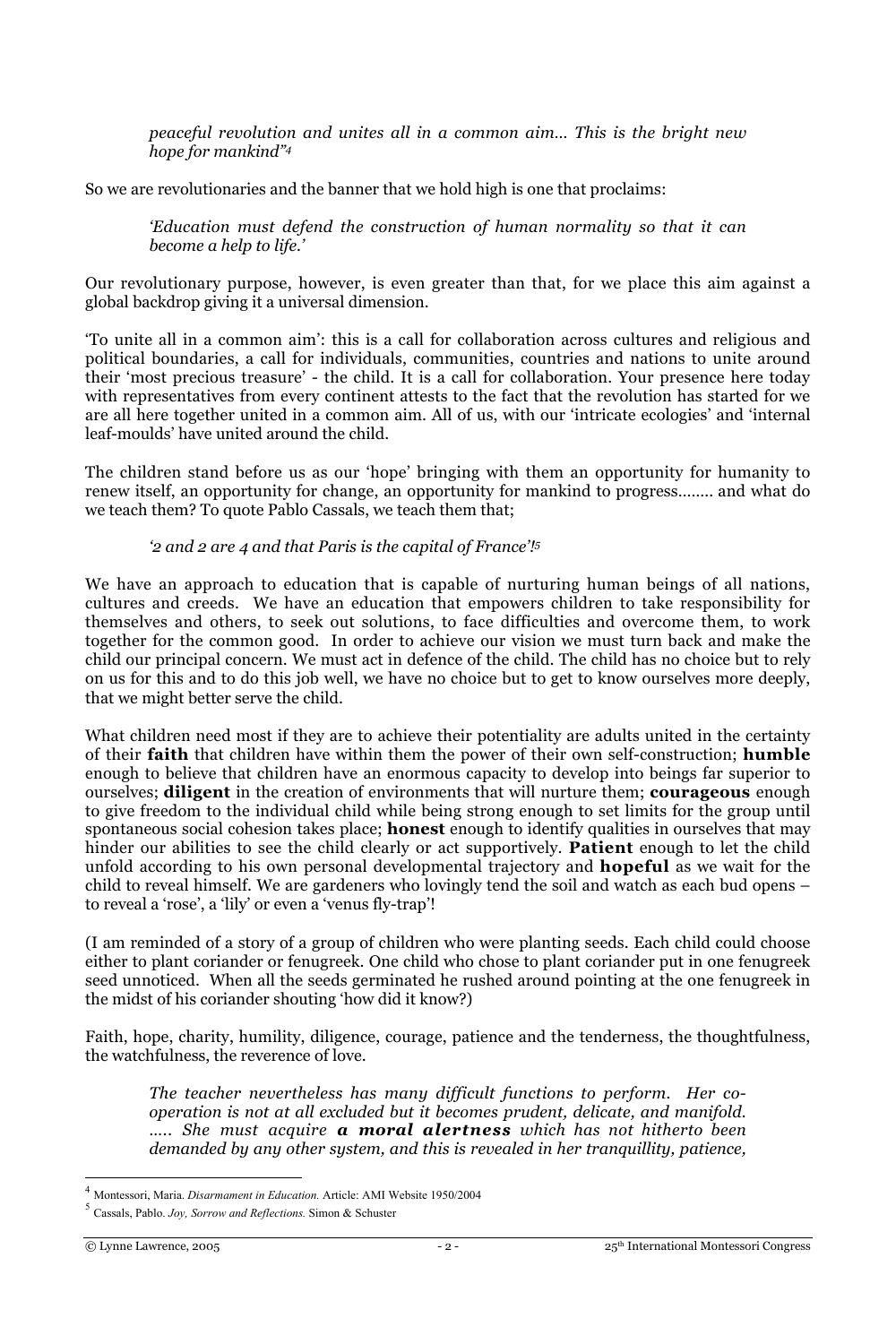*peaceful revolution and unites all in a common aim… This is the bright new hope for mankind"4*

So we are revolutionaries and the banner that we hold high is one that proclaims:

*'Education must defend the construction of human normality so that it can become a help to life.'*

Our revolutionary purpose, however, is even greater than that, for we place this aim against a global backdrop giving it a universal dimension.

'To unite all in a common aim': this is a call for collaboration across cultures and religious and political boundaries, a call for individuals, communities, countries and nations to unite around their 'most precious treasure' - the child. It is a call for collaboration. Your presence here today with representatives from every continent attests to the fact that the revolution has started for we are all here together united in a common aim. All of us, with our 'intricate ecologies' and 'internal leaf-moulds' have united around the child.

The children stand before us as our 'hope' bringing with them an opportunity for humanity to renew itself, an opportunity for change, an opportunity for mankind to progress…….. and what do we teach them? To quote Pablo Cassals, we teach them that;

*'2 and 2 are 4 and that Paris is the capital of France'!5*

We have an approach to education that is capable of nurturing human beings of all nations, cultures and creeds. We have an education that empowers children to take responsibility for themselves and others, to seek out solutions, to face difficulties and overcome them, to work together for the common good. In order to achieve our vision we must turn back and make the child our principal concern. We must act in defence of the child. The child has no choice but to rely on us for this and to do this job well, we have no choice but to get to know ourselves more deeply, that we might better serve the child.

What children need most if they are to achieve their potentiality are adults united in the certainty of their **faith** that children have within them the power of their own self-construction; **humble** enough to believe that children have an enormous capacity to develop into beings far superior to ourselves; **diligent** in the creation of environments that will nurture them; **courageous** enough to give freedom to the individual child while being strong enough to set limits for the group until spontaneous social cohesion takes place; **honest** enough to identify qualities in ourselves that may hinder our abilities to see the child clearly or act supportively. **Patient** enough to let the child unfold according to his own personal developmental trajectory and **hopeful** as we wait for the child to reveal himself. We are gardeners who lovingly tend the soil and watch as each bud opens – to reveal a 'rose', a 'lily' or even a 'venus fly-trap'!

(I am reminded of a story of a group of children who were planting seeds. Each child could choose either to plant coriander or fenugreek. One child who chose to plant coriander put in one fenugreek seed unnoticed. When all the seeds germinated he rushed around pointing at the one fenugreek in the midst of his coriander shouting 'how did it know?)

Faith, hope, charity, humility, diligence, courage, patience and the tenderness, the thoughtfulness, the watchfulness, the reverence of love.

*The teacher nevertheless has many difficult functions to perform. Her cooperation is not at all excluded but it becomes prudent, delicate, and manifold. ….. She must acquire a moral alertness which has not hitherto been demanded by any other system, and this is revealed in her tranquillity, patience,*

<sup>4</sup> Montessori, Maria. *Disarmament in Education.* Article: AMI Website 1950/2004

<sup>5</sup> Cassals, Pablo. *Joy, Sorrow and Reflections.* Simon & Schuster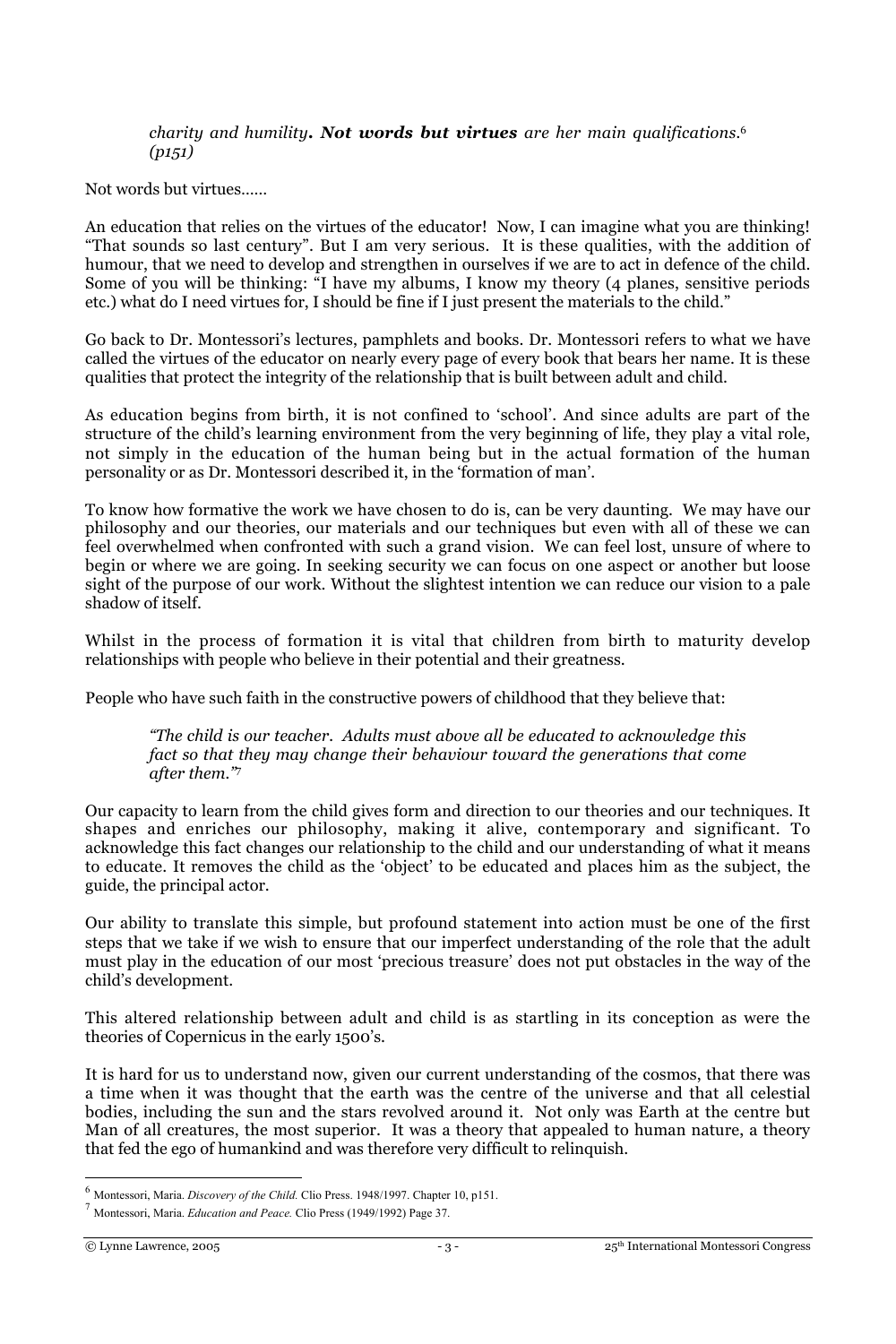*charity and humility. Not words but virtues are her main qualifications.*<sup>6</sup> *(p151)*

Not words but virtues……

An education that relies on the virtues of the educator! Now, I can imagine what you are thinking! "That sounds so last century". But I am very serious. It is these qualities, with the addition of humour, that we need to develop and strengthen in ourselves if we are to act in defence of the child. Some of you will be thinking: "I have my albums, I know my theory (4 planes, sensitive periods etc.) what do I need virtues for, I should be fine if I just present the materials to the child."

Go back to Dr. Montessori's lectures, pamphlets and books. Dr. Montessori refers to what we have called the virtues of the educator on nearly every page of every book that bears her name. It is these qualities that protect the integrity of the relationship that is built between adult and child.

As education begins from birth, it is not confined to 'school'. And since adults are part of the structure of the child's learning environment from the very beginning of life, they play a vital role, not simply in the education of the human being but in the actual formation of the human personality or as Dr. Montessori described it, in the 'formation of man'.

To know how formative the work we have chosen to do is, can be very daunting. We may have our philosophy and our theories, our materials and our techniques but even with all of these we can feel overwhelmed when confronted with such a grand vision. We can feel lost, unsure of where to begin or where we are going. In seeking security we can focus on one aspect or another but loose sight of the purpose of our work. Without the slightest intention we can reduce our vision to a pale shadow of itself.

Whilst in the process of formation it is vital that children from birth to maturity develop relationships with people who believe in their potential and their greatness.

People who have such faith in the constructive powers of childhood that they believe that:

*"The child is our teacher. Adults must above all be educated to acknowledge this fact so that they may change their behaviour toward the generations that come after them."*<sup>7</sup>

Our capacity to learn from the child gives form and direction to our theories and our techniques. It shapes and enriches our philosophy, making it alive, contemporary and significant. To acknowledge this fact changes our relationship to the child and our understanding of what it means to educate. It removes the child as the 'object' to be educated and places him as the subject, the guide, the principal actor.

Our ability to translate this simple, but profound statement into action must be one of the first steps that we take if we wish to ensure that our imperfect understanding of the role that the adult must play in the education of our most 'precious treasure' does not put obstacles in the way of the child's development.

This altered relationship between adult and child is as startling in its conception as were the theories of Copernicus in the early 1500's.

It is hard for us to understand now, given our current understanding of the cosmos, that there was a time when it was thought that the earth was the centre of the universe and that all celestial bodies, including the sun and the stars revolved around it. Not only was Earth at the centre but Man of all creatures, the most superior. It was a theory that appealed to human nature, a theory that fed the ego of humankind and was therefore very difficult to relinquish.

<sup>6</sup> Montessori, Maria. *Discovery of the Child.* Clio Press. 1948/1997. Chapter 10, p151.

<sup>7</sup> Montessori, Maria. *Education and Peace.* Clio Press (1949/1992) Page 37.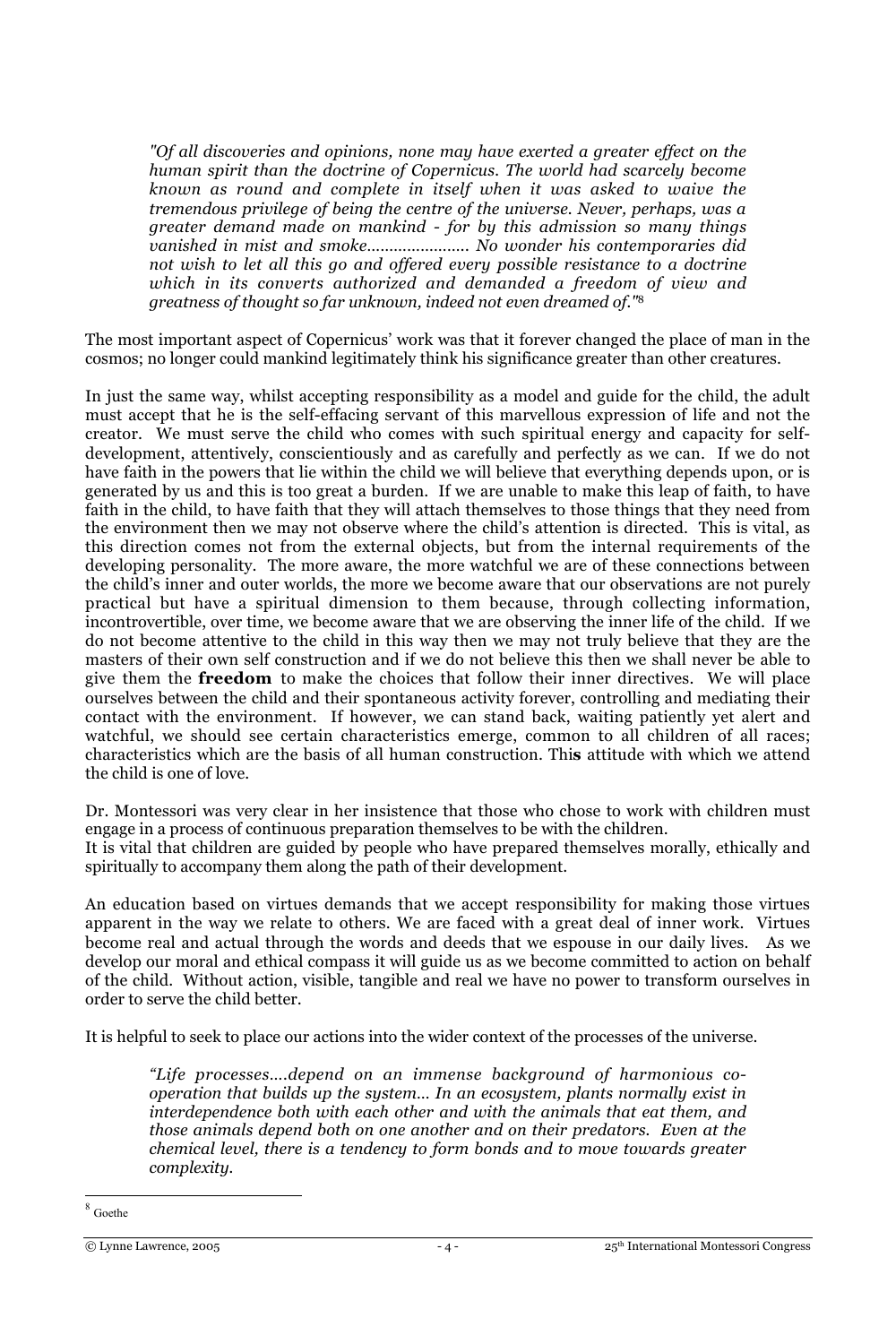*"Of all discoveries and opinions, none may have exerted a greater effect on the human spirit than the doctrine of Copernicus. The world had scarcely become known as round and complete in itself when it was asked to waive the tremendous privilege of being the centre of the universe. Never, perhaps, was a greater demand made on mankind - for by this admission so many things vanished in mist and smoke………………….. No wonder his contemporaries did not wish to let all this go and offered every possible resistance to a doctrine which in its converts authorized and demanded a freedom of view and greatness of thought so far unknown, indeed not even dreamed of."*<sup>8</sup>

The most important aspect of Copernicus' work was that it forever changed the place of man in the cosmos; no longer could mankind legitimately think his significance greater than other creatures.

In just the same way, whilst accepting responsibility as a model and guide for the child, the adult must accept that he is the self-effacing servant of this marvellous expression of life and not the creator. We must serve the child who comes with such spiritual energy and capacity for selfdevelopment, attentively, conscientiously and as carefully and perfectly as we can. If we do not have faith in the powers that lie within the child we will believe that everything depends upon, or is generated by us and this is too great a burden. If we are unable to make this leap of faith, to have faith in the child, to have faith that they will attach themselves to those things that they need from the environment then we may not observe where the child's attention is directed. This is vital, as this direction comes not from the external objects, but from the internal requirements of the developing personality. The more aware, the more watchful we are of these connections between the child's inner and outer worlds, the more we become aware that our observations are not purely practical but have a spiritual dimension to them because, through collecting information, incontrovertible, over time, we become aware that we are observing the inner life of the child. If we do not become attentive to the child in this way then we may not truly believe that they are the masters of their own self construction and if we do not believe this then we shall never be able to give them the **freedom** to make the choices that follow their inner directives. We will place ourselves between the child and their spontaneous activity forever, controlling and mediating their contact with the environment. If however, we can stand back, waiting patiently yet alert and watchful, we should see certain characteristics emerge, common to all children of all races; characteristics which are the basis of all human construction. Thi**s** attitude with which we attend the child is one of love.

Dr. Montessori was very clear in her insistence that those who chose to work with children must engage in a process of continuous preparation themselves to be with the children. It is vital that children are guided by people who have prepared themselves morally, ethically and spiritually to accompany them along the path of their development.

An education based on virtues demands that we accept responsibility for making those virtues apparent in the way we relate to others. We are faced with a great deal of inner work. Virtues become real and actual through the words and deeds that we espouse in our daily lives. As we develop our moral and ethical compass it will guide us as we become committed to action on behalf of the child. Without action, visible, tangible and real we have no power to transform ourselves in order to serve the child better.

It is helpful to seek to place our actions into the wider context of the processes of the universe.

*"Life processes….depend on an immense background of harmonious cooperation that builds up the system… In an ecosystem, plants normally exist in interdependence both with each other and with the animals that eat them, and those animals depend both on one another and on their predators. Even at the chemical level, there is a tendency to form bonds and to move towards greater complexity.*

Goethe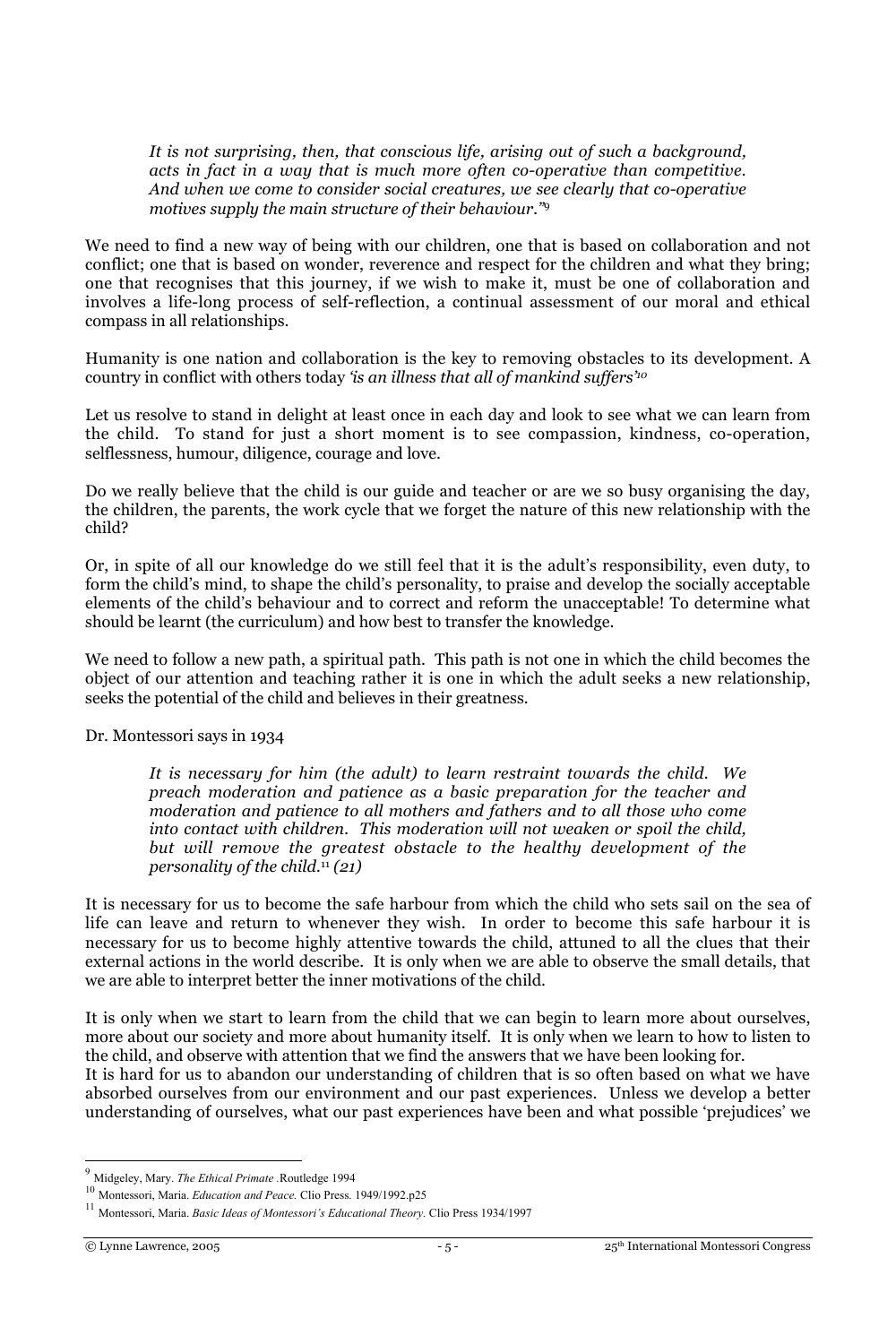*It is not surprising, then, that conscious life, arising out of such a background, acts in fact in a way that is much more often co-operative than competitive. And when we come to consider social creatures, we see clearly that co-operative motives supply the main structure of their behaviour."*<sup>9</sup>

We need to find a new way of being with our children, one that is based on collaboration and not conflict; one that is based on wonder, reverence and respect for the children and what they bring; one that recognises that this journey, if we wish to make it, must be one of collaboration and involves a life-long process of self-reflection, a continual assessment of our moral and ethical compass in all relationships.

Humanity is one nation and collaboration is the key to removing obstacles to its development. A country in conflict with others today *'is an illness that all of mankind suffers'10*

Let us resolve to stand in delight at least once in each day and look to see what we can learn from the child. To stand for just a short moment is to see compassion, kindness, co-operation, selflessness, humour, diligence, courage and love.

Do we really believe that the child is our guide and teacher or are we so busy organising the day, the children, the parents, the work cycle that we forget the nature of this new relationship with the child?

Or, in spite of all our knowledge do we still feel that it is the adult's responsibility, even duty, to form the child's mind, to shape the child's personality, to praise and develop the socially acceptable elements of the child's behaviour and to correct and reform the unacceptable! To determine what should be learnt (the curriculum) and how best to transfer the knowledge.

We need to follow a new path, a spiritual path. This path is not one in which the child becomes the object of our attention and teaching rather it is one in which the adult seeks a new relationship, seeks the potential of the child and believes in their greatness.

## Dr. Montessori says in 1934

*It is necessary for him (the adult) to learn restraint towards the child. We preach moderation and patience as a basic preparation for the teacher and moderation and patience to all mothers and fathers and to all those who come into contact with children. This moderation will not weaken or spoil the child, but will remove the greatest obstacle to the healthy development of the personality of the child.*<sup>11</sup>  *(21)*

It is necessary for us to become the safe harbour from which the child who sets sail on the sea of life can leave and return to whenever they wish. In order to become this safe harbour it is necessary for us to become highly attentive towards the child, attuned to all the clues that their external actions in the world describe. It is only when we are able to observe the small details, that we are able to interpret better the inner motivations of the child.

It is only when we start to learn from the child that we can begin to learn more about ourselves, more about our society and more about humanity itself. It is only when we learn to how to listen to the child, and observe with attention that we find the answers that we have been looking for.

It is hard for us to abandon our understanding of children that is so often based on what we have absorbed ourselves from our environment and our past experiences. Unless we develop a better understanding of ourselves, what our past experiences have been and what possible 'prejudices' we

<sup>9</sup> Midgeley, Mary. *The Ethical Primate .*Routledge 1994

<sup>10</sup> Montessori, Maria. *Education and Peace.* Clio Press. 1949/1992.p25

<sup>11</sup> Montessori, Maria. *Basic Ideas of Montessori's Educational Theory.* Clio Press 1934/1997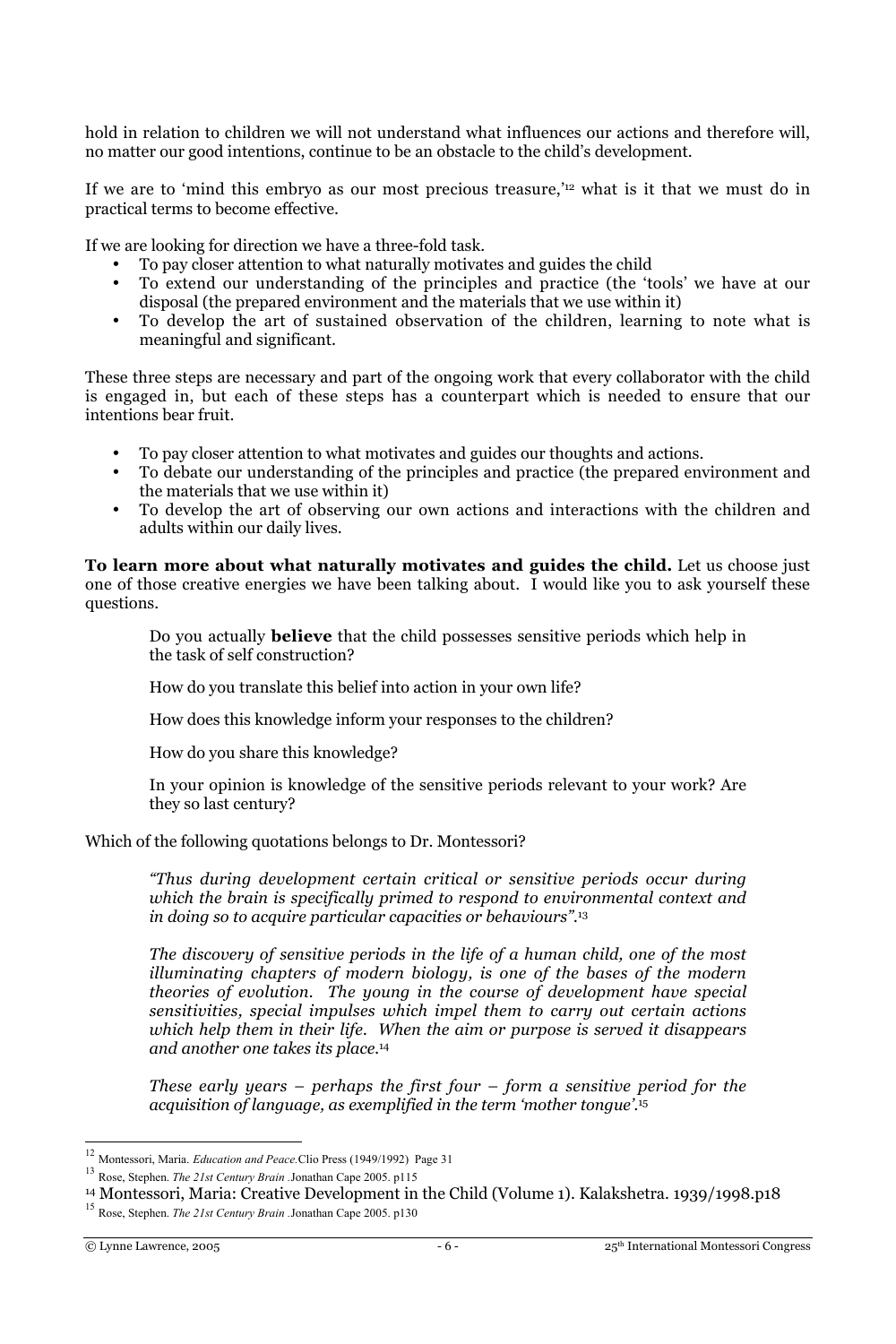hold in relation to children we will not understand what influences our actions and therefore will, no matter our good intentions, continue to be an obstacle to the child's development.

If we are to 'mind this embryo as our most precious treasure,'12 what is it that we must do in practical terms to become effective.

If we are looking for direction we have a three-fold task.

- To pay closer attention to what naturally motivates and guides the child
- To extend our understanding of the principles and practice (the 'tools' we have at our disposal (the prepared environment and the materials that we use within it)
- To develop the art of sustained observation of the children, learning to note what is meaningful and significant.

These three steps are necessary and part of the ongoing work that every collaborator with the child is engaged in, but each of these steps has a counterpart which is needed to ensure that our intentions bear fruit.

- To pay closer attention to what motivates and guides our thoughts and actions.
- To debate our understanding of the principles and practice (the prepared environment and the materials that we use within it)
- To develop the art of observing our own actions and interactions with the children and adults within our daily lives.

**To learn more about what naturally motivates and guides the child.** Let us choose just one of those creative energies we have been talking about. I would like you to ask yourself these questions.

Do you actually **believe** that the child possesses sensitive periods which help in the task of self construction?

How do you translate this belief into action in your own life?

How does this knowledge inform your responses to the children?

How do you share this knowledge?

In your opinion is knowledge of the sensitive periods relevant to your work? Are they so last century?

Which of the following quotations belongs to Dr. Montessori?

*"Thus during development certain critical or sensitive periods occur during which the brain is specifically primed to respond to environmental context and in doing so to acquire particular capacities or behaviours".*<sup>13</sup>

*The discovery of sensitive periods in the life of a human child, one of the most illuminating chapters of modern biology, is one of the bases of the modern theories of evolution. The young in the course of development have special sensitivities, special impulses which impel them to carry out certain actions which help them in their life. When the aim or purpose is served it disappears and another one takes its place.*<sup>14</sup>

*These early years – perhaps the first four – form a sensitive period for the acquisition of language, as exemplified in the term 'mother tongue'.*<sup>15</sup>

<sup>12</sup> Montessori, Maria. *Education and Peace.*Clio Press (1949/1992) Page 31

<sup>13</sup> Rose, Stephen. *The 21st Century Brain .*Jonathan Cape 2005. p115

<sup>&</sup>lt;sup>14</sup> Montessori, Maria: Creative Development in the Child (Volume 1). Kalakshetra. 1939/1998.p18<br><sup>15</sup> Rose, Stephen. *The 21st Century Brain .*Jonathan Cape 2005. p130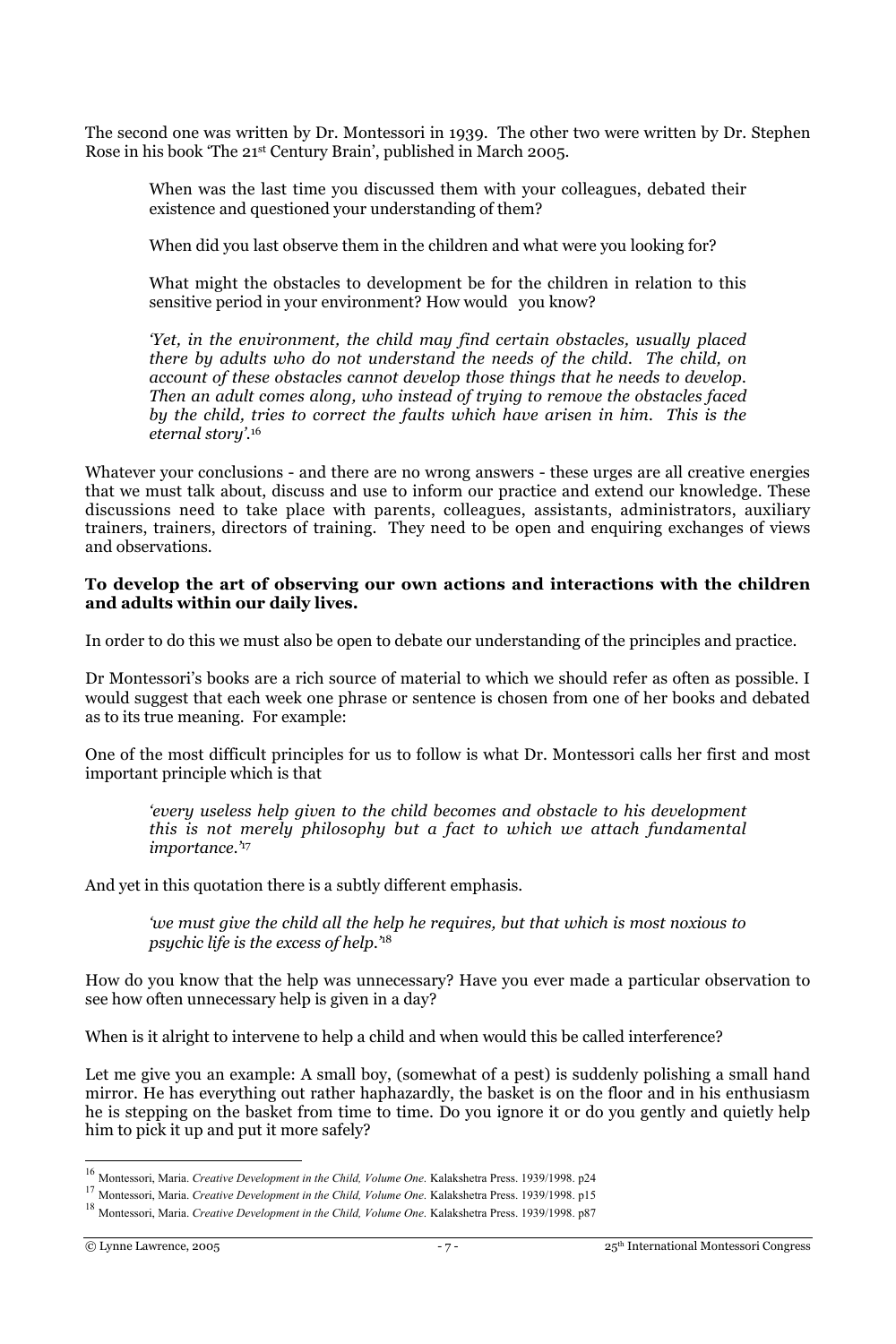The second one was written by Dr. Montessori in 1939. The other two were written by Dr. Stephen Rose in his book 'The 21st Century Brain', published in March 2005.

When was the last time you discussed them with your colleagues, debated their existence and questioned your understanding of them?

When did you last observe them in the children and what were you looking for?

What might the obstacles to development be for the children in relation to this sensitive period in your environment? How would you know?

*'Yet, in the environment, the child may find certain obstacles, usually placed there by adults who do not understand the needs of the child. The child, on account of these obstacles cannot develop those things that he needs to develop. Then an adult comes along, who instead of trying to remove the obstacles faced by the child, tries to correct the faults which have arisen in him. This is the eternal story'.*<sup>16</sup>

Whatever your conclusions - and there are no wrong answers - these urges are all creative energies that we must talk about, discuss and use to inform our practice and extend our knowledge. These discussions need to take place with parents, colleagues, assistants, administrators, auxiliary trainers, trainers, directors of training. They need to be open and enquiring exchanges of views and observations.

#### **To develop the art of observing our own actions and interactions with the children and adults within our daily lives.**

In order to do this we must also be open to debate our understanding of the principles and practice.

Dr Montessori's books are a rich source of material to which we should refer as often as possible. I would suggest that each week one phrase or sentence is chosen from one of her books and debated as to its true meaning. For example:

One of the most difficult principles for us to follow is what Dr. Montessori calls her first and most important principle which is that

*'every useless help given to the child becomes and obstacle to his development this is not merely philosophy but a fact to which we attach fundamental importance.'*<sup>17</sup>

And yet in this quotation there is a subtly different emphasis.

*'we must give the child all the help he requires, but that which is most noxious to psychic life is the excess of help.'*<sup>18</sup>

How do you know that the help was unnecessary? Have you ever made a particular observation to see how often unnecessary help is given in a day?

When is it alright to intervene to help a child and when would this be called interference?

Let me give you an example: A small boy, (somewhat of a pest) is suddenly polishing a small hand mirror. He has everything out rather haphazardly, the basket is on the floor and in his enthusiasm he is stepping on the basket from time to time. Do you ignore it or do you gently and quietly help him to pick it up and put it more safely?

<sup>16</sup> Montessori, Maria. *Creative Development in the Child, Volume One*. Kalakshetra Press. 1939/1998. p24

<sup>17</sup> Montessori, Maria. *Creative Development in the Child, Volume One*. Kalakshetra Press. 1939/1998. p15

<sup>18</sup> Montessori, Maria. *Creative Development in the Child, Volume One*. Kalakshetra Press. 1939/1998. p87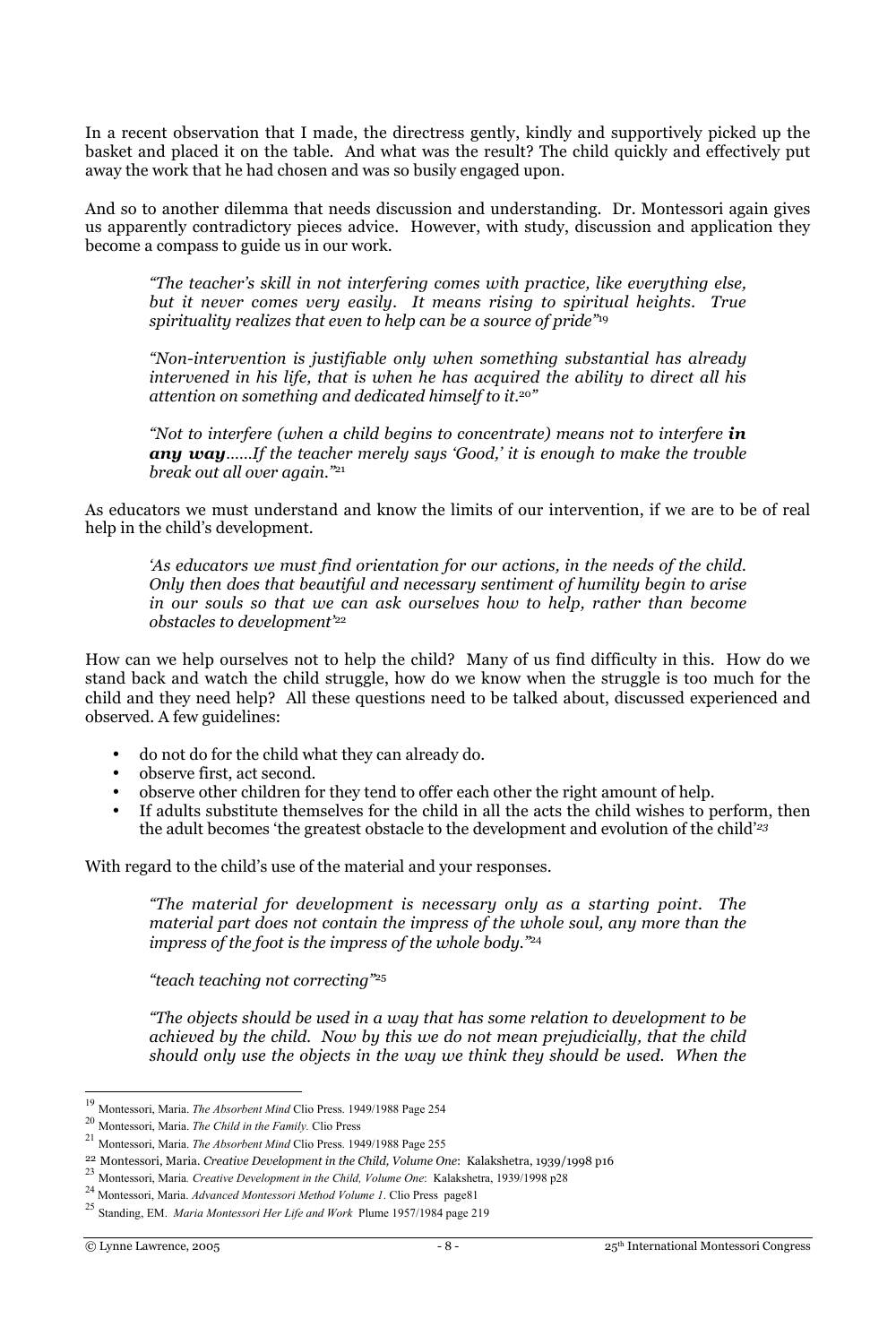In a recent observation that I made, the directress gently, kindly and supportively picked up the basket and placed it on the table. And what was the result? The child quickly and effectively put away the work that he had chosen and was so busily engaged upon.

And so to another dilemma that needs discussion and understanding. Dr. Montessori again gives us apparently contradictory pieces advice. However, with study, discussion and application they become a compass to guide us in our work.

*"The teacher's skill in not interfering comes with practice, like everything else, but it never comes very easily. It means rising to spiritual heights. True spirituality realizes that even to help can be a source of pride"*<sup>19</sup>

*"Non-intervention is justifiable only when something substantial has already intervened in his life, that is when he has acquired the ability to direct all his attention on something and dedicated himself to it.*<sup>20</sup>*"*

*"Not to interfere (when a child begins to concentrate) means not to interfere in any way……If the teacher merely says 'Good,' it is enough to make the trouble break out all over again."*<sup>21</sup>

As educators we must understand and know the limits of our intervention, if we are to be of real help in the child's development.

*'As educators we must find orientation for our actions, in the needs of the child. Only then does that beautiful and necessary sentiment of humility begin to arise in our souls so that we can ask ourselves how to help, rather than become obstacles to development'*<sup>22</sup>

How can we help ourselves not to help the child? Many of us find difficulty in this. How do we stand back and watch the child struggle, how do we know when the struggle is too much for the child and they need help? All these questions need to be talked about, discussed experienced and observed. A few guidelines:

- do not do for the child what they can already do.
- observe first, act second.
- observe other children for they tend to offer each other the right amount of help.
- If adults substitute themselves for the child in all the acts the child wishes to perform, then the adult becomes 'the greatest obstacle to the development and evolution of the child'*<sup>23</sup>*

With regard to the child's use of the material and your responses.

*"The material for development is necessary only as a starting point. The material part does not contain the impress of the whole soul, any more than the impress of the foot is the impress of the whole body."*<sup>24</sup>

*"teach teaching not correcting"*<sup>25</sup>

*"The objects should be used in a way that has some relation to development to be achieved by the child. Now by this we do not mean prejudicially, that the child should only use the objects in the way we think they should be used. When the*

<sup>19</sup> Montessori, Maria. *The Absorbent Mind* Clio Press. 1949/1988 Page 254

<sup>20</sup> Montessori, Maria. *The Child in the Family.* Clio Press

<sup>21</sup> Montessori, Maria. *The Absorbent Mind* Clio Press. 1949/1988 Page 255<br><sup>22</sup> Montessori, Maria. *Creative Development in the Child, Volume One*: Kalakshetra, 1939/1998 p16

<sup>&</sup>lt;sup>23</sup> Montessori, Maria. Creative Development in the Child, Volume One: Kalakshetra, 1939/1998 p28

<sup>24</sup> Montessori, Maria. *Advanced Montessori Method Volume 1*. Clio Press page81

<sup>25</sup> Standing, EM. *Maria Montessori Her Life and Work* Plume 1957/1984 page 219